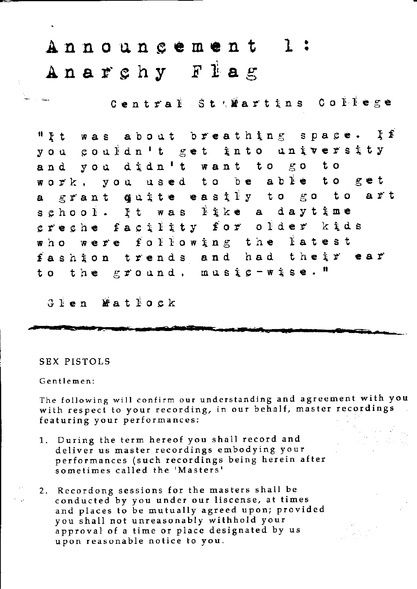## Announcement Anarchy Flag

Central St Wartins College

"It was about breathing space. If you couldn't get into university you didn't want to go to and work, you used to be able to get a grant quite easily to go to art school. It was like a daytime greghe facility for older kids who were following the latest fashion trends and had their ear to the ground, music-wise."

Glen Matlock

**SEX PISTOLS** 

Gentlemen:

The following will confirm our understanding and agreement with you with respect to your recording, in our behalf, master recordings featuring your performances:

- 1. During the term hereof you shall record and deliver us master recordings embodying your performances (such recordings being herein after sometimes called the 'Masters'
- 2. Recordong sessions for the masters shall be conducted by you under our liscense, at times and places to be mutually agreed upon; provided you shall not unreasonably withhold your approval of a time or place designated by us upon reasonable notice to you.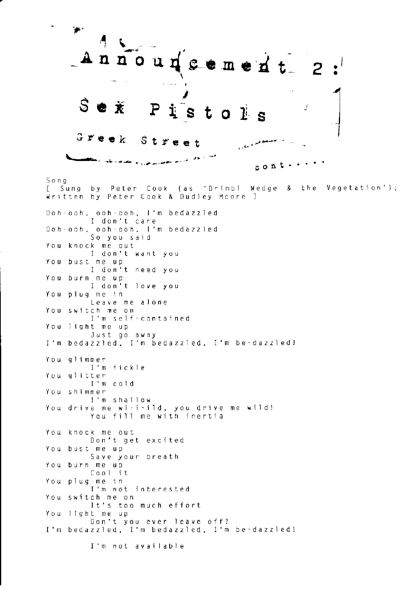

Song

[ Sung by Peter Cook (as 'Drimbl Wedge & the Vegetation'); Written by Peter Cook & Dudley Moore 3

Ooh-ooh, ooh-ooh, I'm bedazzled I don't care Ooh-ooh, ooh-ooh, I'm bedazzled So you said You knock me out I don't want you You bust me up I don't need you You burn me up I don't love you You plug me in Leave me alone You switch me on I'm self-contained You light me up Just go away I'm bedazzled, I'm bedazzled, I'm be-dazzled! You glimmer I'm fickle You glitter I'm cold You shimmer I'm shallow You drive me wi-i-ild, you drive me wild! You fill me with inertia You knock me out Don't get excited You bust me up Save your breath You burn me up Cool it You plug me in I'm not interested You switch me on It's too much effort You light me up Don't you ever leave off? I'm bedazzled, I'm bedazzled, I'm be-dazzled! I'm not available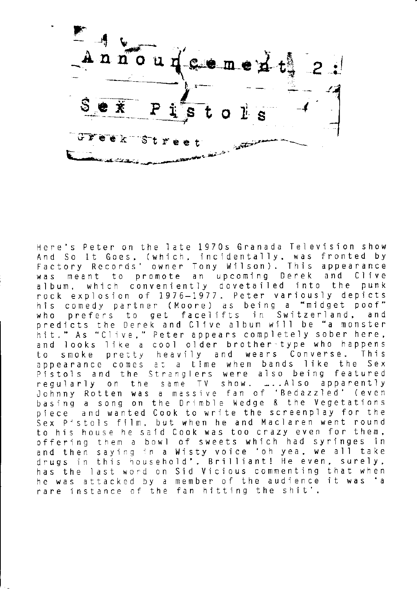

his comedy partner (Moore) as being a "midget poof" who prefers to get facelifts in Switzerland, and predicts the Derek and Clive album will be "a monster hjt." As "Clive," Peter appears completely sober here, and looks I jke e cool older brother-type who happers to smoke pretty heavily and wears Converse. This appearance comes at a time when bands like the Sex Pistols and the Stranglers were also being featured regularly on the same TV show. ....Also apparently Johnny Rotten was a massive fan of 'Bedazzled' (even basing a song on the Drimble Wedge & the Vegetations piece and wanted Cook to write the screenplay for the Sex Pistols film, but when he and Maclaren went round to his house he sajd Cook was too crazy even for them, offering them a bowl of sweets which had syringes in and then saying in a Wisty voice 'oh yea, we all take rock explosion of 1976-1977. Peter variously depicts drugs in this household'. Brilliant! He even, surely, Here's Peter on the late 1970s Granada Television show And So lt Goes, (which, incjdentally, was fronted by Factory Records' owner Tony Wilson). This appearance was meant to pronote an upcoming Derek and Clive album, which conveniently dovetailed into the punk has the last word on Sid Vicious commenting that when he was attacked by a member of the audience it was 'a rare instance of the fan hitting the shit'.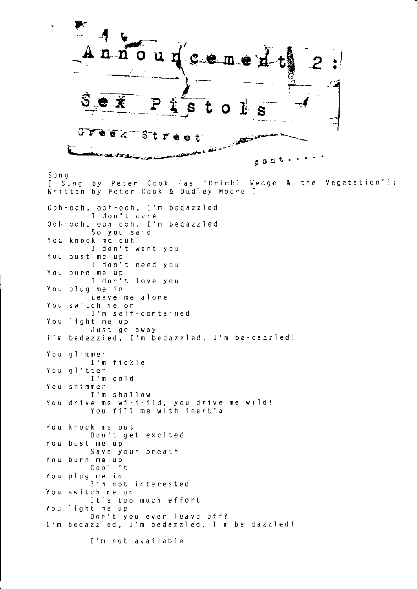

#### Song

[ Sung by Peter Cook {as 'Drimbl Wedge & the Vegetation'}; Written by Peter Cook & Dudley Moore ]

Ooh-ooh, ooh-ooh, I'm bedazzled I don't care Ooh-ooh, ooh-ooh, I'm bedazzled So you said You knock me out I don't want you You bust me up I don't need you You burn me up I don't love you You plug me in Leave me alone You switch me on I'm self-contained You light me up Just go away I'm bedazzled, I'm bedazzled, I'm be-dazzled! You glimmer I'm fickle You glitter I'm cold You shimmer I'm shallow You drive me wi-i-ild, you drive me wild! You fill me with inertia You knock me out Don't get excited You bust me up Save your breath You burn me up Cool it You plug me in I'm not interested You switch me on It's too much effort You light me up Don't you ever leave off? I'm bedazzled, I'm bedazzled, I'm be-dazzled! I'm not available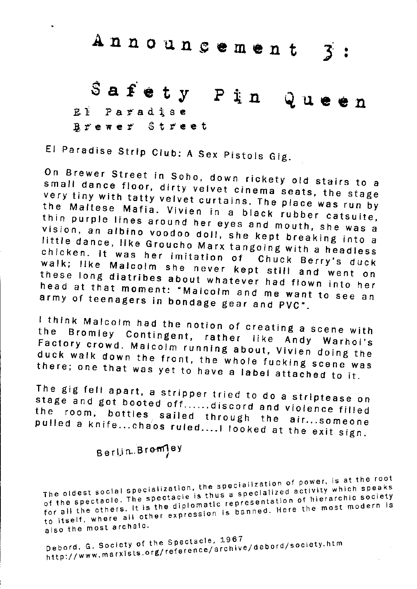Announcement  $\mathbf{3}$ 

## Safety Pin Queen El Paradise Brewer Street

El Paradise Strip Club: A Sex Pistols Gig.

On Brewer Street in Soho, down rickety old stairs to a small dance floor, dirty velvet cinema seats, the stage very tiny with tatty velvet curtains. The place was run by the Maltese Mafia. Vivien in a black rubber catsuite, thin purple lines around her eyes and mouth, she was a vision, an albino voodoo doll, she kept breaking into a little dance, like Groucho Marx tangoing with a headless chicken. It was her imitation of Chuck Berry's duck walk; like Malcolm she never kept still and went on these long diatribes about whatever had flown into her head at that moment: "Malcolm and me want to see an army of teenagers in bondage gear and PVC".

I think Malcolm had the notion of creating a scene with Bromley Contingent, rather like Andy Warhol's the Factory crowd. Malcolm running about, Vivien doing the duck walk down the front, the whole fucking scene was there; one that was yet to have a label attached to it.

The gig fell apart, a stripper tried to do a striptease on stage and got booted off......discord and violence filled the room, bottles sailed through the air...someone pulled a knife...chaos ruled....I looked at the exit sign.

Berlin Brom ey

The oldest social specialization, the specialization of power, is at the root of the spectacle. The spectacle is thus a specialized activity which speaks for all the others. It is the diplomatic representation of hierarchic society to itself, where all other expression is banned. Here the most modern is also the most archaic.

Debord, G. Society of the Spectacle, 1967 http://www.marxists.org/reference/archive/debord/society.htm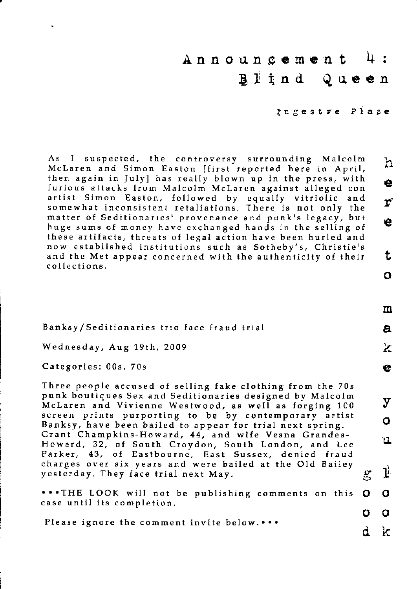# Announcement 4:

### Blind Queen

Ingestre Place

€  ${\tt t}$ As I 6uspected, the conttoversy surrounding Malcolm McLaren and Simon Easton [first reported here in April, then again in Julyl has really blown up in the press, with furious attacks from Malcolm McLaren against alleged con artist Simon Easton, followed by equally vitriolic and somewhat inconsistent retaliations. There is not only the matter of Seditionaries' provenance and punk's legacy, but hu ge sums of money have exchan ged hands in the selling of these artifacts, threats of legal action have been hurled and now established institutions such as Sothebv's, Christie's and the Met appear concerned with the authenticity of their collections.  $\Omega$ f e

Banksy/Seditionaries trio face fraud trial

Wednesday, Aug 19th, 2009

Categories: 00s, 70s

Three people accused of selling fake clothing from the 70s punk boutiques Sex and Seditionaries designed by Malcolm McLaren and Vivienne Westwood, as well as forging 100 screen prints purporting to be by contemporary artist Banksy, have been bailed to appear for trial next spring. Grant Champkins-Howard, 44, and wife Vesna Grandes-Howard, 32, of South Croydon, South London, and Lee Parker, 43, of Eastbourne, East Sussex, denied fraud charges over six years and were bailed at the Old Bailey y esterd ay. Th ey face trial next May.

. . . THE LOOK will Dot be publishing comments on this case until its completion. o

Please ignore the comment invite below....

o

a

n

k

e

v

o

 $\mathbf u$ 

o

 $\mathbf{l}$ 

o

k

 $\mathfrak{s}$ 

o

 $\mathbf{d}$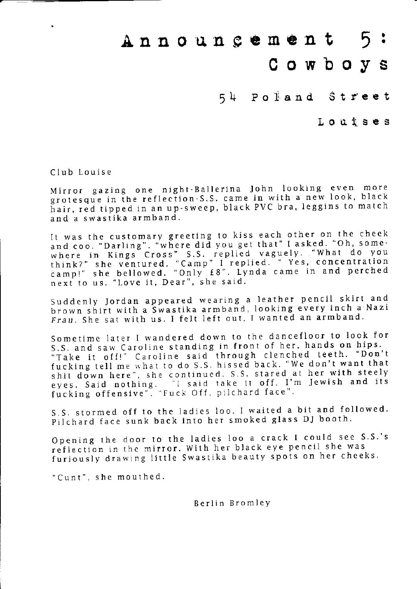#### Announcement う:

### Cowboys

54 Poland Street

Louises

Club Louise

Mirror gazing one night-Ballerina John looking even more grotesque in the reflection-S.S. came in with a new look, black hair, red tipped in an up-sweep, black PVC bra, leggins to match and a swastika armband.

It was the customary greeting to kiss each other on the cheek and coo. "Darling". "where did you get that" I asked. "Oh, somewhere in Kings Cross" S.S. replied vaguely. "What do you think?" she ventured. "Camp" I replied. "Yes, concentration camp!" she bellowed. "Only £8". Lynda came in and perched next to us. "Love it, Dear", she said.

Suddenly Jordan appeared wearing a leather pencil skirt and brown shirt with a Swastika armband, looking every inch a Nazi Frau. She sat with us. I felt left out, I wanted an armband.

Sometime later I wandered down to the dancefloor to look for S.S. and saw Caroline standing in front of her, hands on hips. "Take it off!" Caroline said through clenched teeth. "Don't fucking tell me what to do S.S. hissed back. "We don't want that shit down here", she continued. S.S. stared at her with steely eyes. Said nothing. "I said take it off, I'm Jewish and its fucking offensive". "Fuck Off, pilchard face".

S.S. stormed off to the ladies loo. I waited a bit and followed. Pilchard face sunk back into her smoked glass DJ booth.

Opening the door to the ladies loo a crack I could see S.S.'s reflection in the mirror. With her black eye pencil she was furiously drawing little Swastika beauty spots on her cheeks.

"Cunt", she mouthed.

Berlin Bromley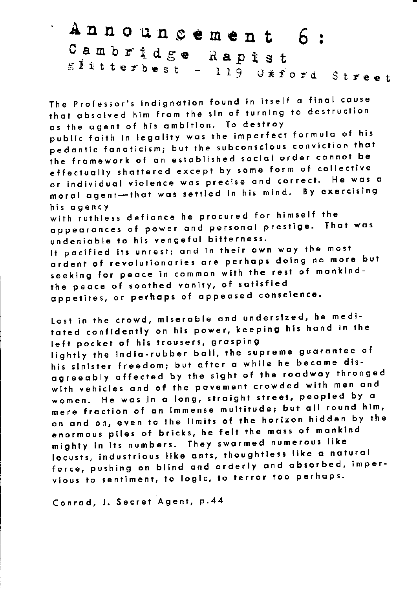# Announcement 6: Cambridge Rapist  $\mathcal{L}$ itterbest - 119 Oxford Street

The Professor's indignation found in itself a final cause that absolved him from the sin of turning to destruction as the agent of his ambition. To destroy public faith in legality was the imperfect formula of his pedantic fanaticism; but the subconscious conviction that the framework of an established social order cannot be effectually shattered except by some form of collective or individual violence was precise and correct. He was a moral agent-that was settled in his mind. By exercising his agency with ruthless defiance he procured for himself the

appearances of power and personal prestige. That was undeniable to his vengeful bitterness. It pacified its unrest; and in their own way the most

ardent of revolutionaries are perhaps doing no more but seeking for peace in common with the rest of mankindthe peace of soothed vanity, of satisfied appetites, or perhaps of appeased conscience.

Lost in the crowd, miserable and undersized, he meditated confidently on his power, keeping his hand in the left pocket of his trousers, grasping lightly the india-rubber ball, the supreme guarantee of his sinister freedom; but after a while he became disagreeably affected by the sight of the roadway thronged with vehicles and of the pavement crowded with men and women. He was in a long, straight street, peopled by a mere fraction of an immense multitude; but all round him, on and on, even to the limits of the horizon hidden by the enormous piles of bricks, he felt the mass of mankind mighty in its numbers. They swarmed numerous like locusts, industrious like ants, thoughtless like a natural force, pushing on blind and orderly and absorbed, impervious to sentiment, to logic, to terror too perhaps.

Conrad, J. Secret Agent, p.44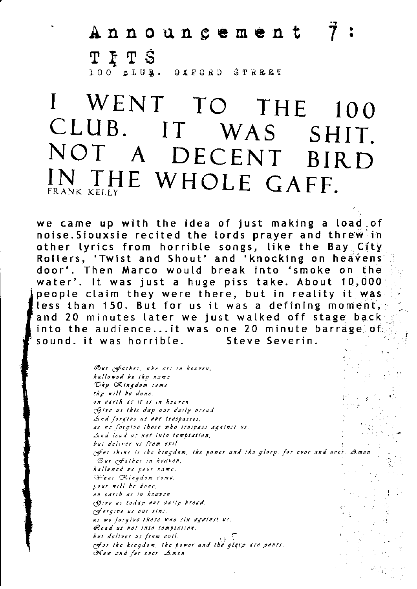Announcement 7: TĮTS 100 cLUB. OXFORD STREET

### I WENT TO THE  $100$ CLUB. IT WAS SHIT. A DECENT NOT BIRD THE WHOLE GAFF. FRANK KELLY

we came up with the idea of just making a load of noise. Siouxsie recited the lords prayer and threw in other lyrics from horrible songs, like the Bay City Rollers, 'Twist and Shout' and 'knocking on heavens' door'. Then Marco would break into 'smoke on the water'. It was just a huge piss take. About 10,000 people claim they were there, but in reality it was less than 150. But for us it was a defining moment, and 20 minutes later we just walked off stage back into the audience...it was one 20 minute barrage of sound. it was horrible. Steve Severin.

> Our Sather, who art in heaven, hallowed be thy name Chp Kingdom come. thy will be done, on earth as it is in heaven Give us this day our daily bread. And forgive us our trespasses, as we forgive those who trespass against us. And lead us not into temptation. but deliver us from ovil. Sor thine is the kingdom, the power and the glory, for ever and ever. Amen Our *father* in heaven, hallowed be pour name. *Pour Kingdom come,* pour will be done, on earth as in heaven Give us today our daily bread.  $\sigma$ forgive us our sins, as we forgive those who sin against us. Read us not into temptation, م<br>آلين<sub>ي</sub> but deliver us from evil. for the kingdom, the power and the glarp are pours. Now and for over. Amon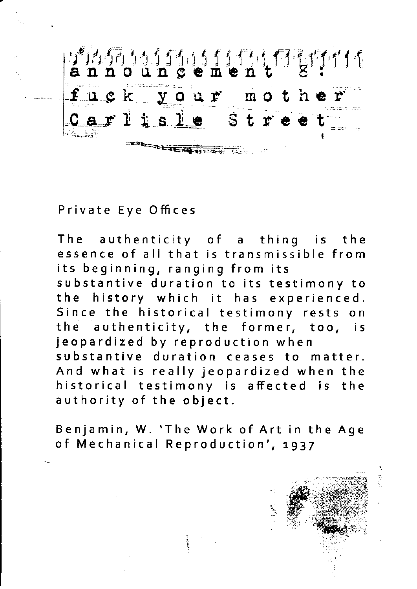randigassenent strijf fuck your mother Carlisle Stree  $z$  , we set the set of  $\overline{z}$ 

### Private Eye Offices

The authenticity of a thing is the essence of all that is transmissible from its beginning, ranging from its substantive duration to its testimony to the history which it has experienced. Since the historical testimony rests on the authenticity, the former, too, is jeopardized by reproduction when substantive duration ceases to matter. And what is really jeopardized when the historical testimony is affected is the authority of the object.

Benjamin, W. 'The Work of Art in the Age of Mechanical Reproduction', 1937

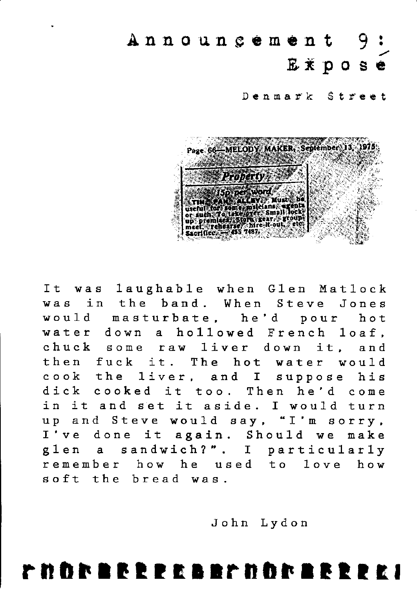# Announcement **Expose**

Denmark Street



It was laughable when Glen Matlock was in the band. When Steve Jones would masturbate, he'd pour hot water down a hollowed French loaf, chuck some raw liver down it, and then fuck it. The hot water would cook the liver, and I suppose his dick cooked it too. Then he'd come in it and set it aside. I would turn up and Steve would say, "I'm sorry, I've done it again. Should we make glen a sandwich?". I particularly remember how he used to love how soft the bread was.

John Lydon

# rnorarreeaarnorarreel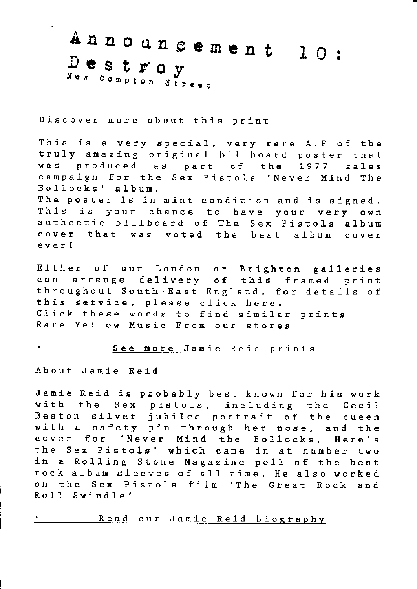## Announcement 10: Destroy New Compton Street

Discover more about this print

This is a very special, very rare A.P of the truly amazing original billboard poster that was produced as part of the 1977 sales campaign for the Sex Pistols 'Never Mind The Bollocks' album.

The poster is in mint condition and is signed. This is your chance to have your very own authentic billboard of The Sex Pistols album cover that was voted the best album cover ever!

Either of our London or Brighton galleries can arrange delivery of this framed print throughout South-East England, for details of this service, please click here. Click these words to find similar prints Rare Yellow Music From our stores

See more Jamie Reid prints

About Jamie Reid

Jamie Reid is probably best known for his work with the Sex pistols, including the Cecil Beaton silver jubilee portrait of the queen with a safety pin through her nose, and the cover for 'Never Mind the Bollocks, Here's the Sex Pistols' which came in at number two in a Rolling Stone Magazine poll of the best rock album sleeves of all time. He also worked on the Sex Pistols film 'The Great Rock and Roll Swindle'

Read our Jamie Reid biography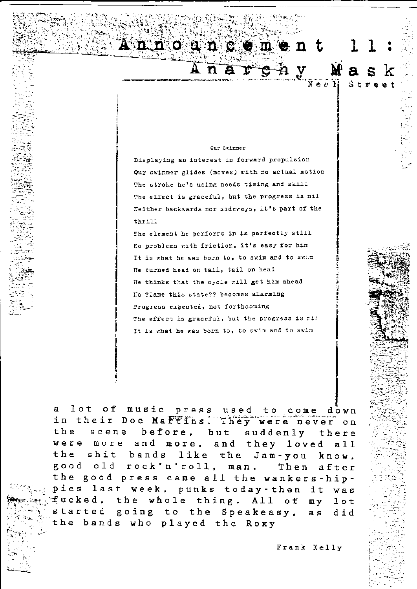### Our Swimmer

 $n \circ a$   $n \circ e$   $m \circ n$  t

Anarehy

11

a s  $S$  t  $r$ 

Displaying an interest in forward propulsion Our swimmer glides (moves) with no actual motion The stroke he's using needs timing and skill The effect is graceful, but the progress is nil Neither backwards nor sideways, it's part of the thrill

The element he performs in is perfectly still No problems with friction, it's easy for him It is what he was born to, to swim and to swim He turned head on tail, tail on head He thinks that the cycle will get him ahead No ?lame this state?? becomes alarming Progress expected, not forthcoming The effect is graceful, but the progress is nil It is what he was born to, to swim and to swim

a lot of music press used to come down in their Doc Martins. They were never on the scene before, but suddenly there were more and more, and they loved all the shit bands like the Jam-you know, good old rock'n'roll, man. Then after the good press came all the wankers-hippies last week, punks today-then it was fucked, the whole thing. All of my lot started going to the Speakeasy,  $a s$ did the bands who played the Roxy

Frank Kelly